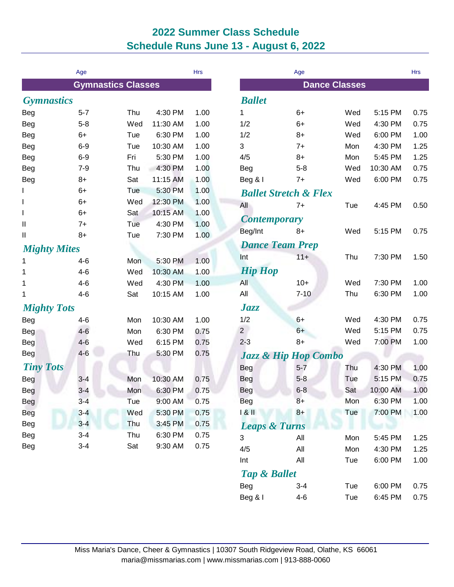## **2022 Summer Class Schedule Schedule Runs June 13 - August 6, 2022**

|                     | Age     |                           |          | <b>Hrs</b> |                                 | Age                              |                      |          | <b>Hrs</b> |
|---------------------|---------|---------------------------|----------|------------|---------------------------------|----------------------------------|----------------------|----------|------------|
|                     |         | <b>Gymnastics Classes</b> |          |            |                                 |                                  | <b>Dance Classes</b> |          |            |
| <b>Gymnastics</b>   |         |                           |          |            | <b>Ballet</b>                   |                                  |                      |          |            |
| <b>Beg</b>          | $5 - 7$ | Thu                       | 4:30 PM  | 1.00       | 1                               | $6+$                             | Wed                  | 5:15 PM  | 0.75       |
| Beg                 | $5 - 8$ | Wed                       | 11:30 AM | 1.00       | 1/2                             | $6+$                             | Wed                  | 4:30 PM  | 0.75       |
| <b>Beg</b>          | $6+$    | Tue                       | 6:30 PM  | 1.00       | 1/2                             | $8+$                             | Wed                  | 6:00 PM  | 1.00       |
| <b>Beg</b>          | $6-9$   | Tue                       | 10:30 AM | 1.00       | 3                               | $7+$                             | Mon                  | 4:30 PM  | 1.25       |
| <b>Beg</b>          | $6-9$   | Fri                       | 5:30 PM  | 1.00       | 4/5                             | $8+$                             | Mon                  | 5:45 PM  | 1.25       |
| <b>Beg</b>          | $7 - 9$ | Thu                       | 4:30 PM  | 1.00       | Beg                             | $5 - 8$                          | Wed                  | 10:30 AM | 0.75       |
| <b>Beg</b>          | $8+$    | Sat                       | 11:15 AM | 1.00       | Beg & I                         | $7+$                             | Wed                  | 6:00 PM  | 0.75       |
|                     | $6+$    | Tue                       | 5:30 PM  | 1.00       |                                 | <b>Ballet Stretch &amp; Flex</b> |                      |          |            |
| L                   | $6+$    | Wed                       | 12:30 PM | 1.00       | All                             | $7+$                             | Tue                  | 4:45 PM  | 0.50       |
| I                   | $6+$    | Sat                       | 10:15 AM | 1.00       |                                 |                                  |                      |          |            |
| Ш                   | $7+$    | Tue                       | 4:30 PM  | 1.00       | <b>Contemporary</b>             |                                  |                      |          |            |
| Ш                   | $8+$    | Tue                       | 7:30 PM  | 1.00       | Beg/Int                         | $8+$                             | Wed                  | 5:15 PM  | 0.75       |
| <b>Mighty Mites</b> |         |                           |          |            | <b>Dance Team Prep</b>          |                                  |                      |          |            |
| 1                   | $4 - 6$ | Mon                       | 5:30 PM  | 1.00       | Int                             | $11 +$                           | Thu                  | 7:30 PM  | 1.50       |
| 1                   | $4 - 6$ | Wed                       | 10:30 AM | 1.00       | <b>Hip Hop</b>                  |                                  |                      |          |            |
| 1                   | $4 - 6$ | Wed                       | 4:30 PM  | 1.00       | All                             | $10+$                            | Wed                  | 7:30 PM  | 1.00       |
| 1                   | $4 - 6$ | Sat                       | 10:15 AM | 1.00       | All                             | $7 - 10$                         | Thu                  | 6:30 PM  | 1.00       |
| <b>Mighty Tots</b>  |         |                           |          |            | Jazz                            |                                  |                      |          |            |
| Beg                 | $4 - 6$ | Mon                       | 10:30 AM | 1.00       | 1/2                             | $6+$                             | Wed                  | 4:30 PM  | 0.75       |
| Beg                 | $4-6$   | Mon                       | 6:30 PM  | 0.75       | $2^{\circ}$                     | $6+$                             | Wed                  | 5:15 PM  | 0.75       |
| <b>Beg</b>          | $4 - 6$ | Wed                       | 6:15 PM  | 0.75       | $2 - 3$                         | $8+$                             | Wed                  | 7:00 PM  | 1.00       |
| <b>Beg</b>          | $4 - 6$ | Thu                       | 5:30 PM  | 0.75       | <b>Jazz &amp; Hip Hop Combo</b> |                                  |                      |          |            |
| <b>Tiny Tots</b>    |         |                           |          |            | <b>Beg</b>                      | $5 - 7$                          | Thu                  | 4:30 PM  | 1.00       |
| Beg                 | $3 - 4$ | Mon                       | 10:30 AM | 0.75       | <b>Beg</b>                      | $5 - 8$                          | Tue                  | 5:15 PM  | 0.75       |
| <b>Beg</b>          | $3 - 4$ | Mon                       | 6:30 PM  | 0.75       | <b>Beg</b>                      | $6 - 8$                          | Sat                  | 10:00 AM | 1.00       |
| <b>Beg</b>          | $3 - 4$ | Tue                       | 9:00 AM  | 0.75       | Beg                             | $8+$                             | Mon                  | 6:30 PM  | 1.00       |
| <b>Beg</b>          | $3 - 4$ | Wed                       | 5:30 PM  | 0.75       | 181                             | $8+$                             | Tue                  | 7:00 PM  | 1.00       |
| <b>Beg</b>          | $3 - 4$ | Thu                       | 3:45 PM  | 0.75       | <b>Leaps &amp; Turns</b>        |                                  |                      |          |            |
| <b>Beg</b>          | $3 - 4$ | Thu                       | 6:30 PM  | 0.75       |                                 |                                  |                      |          |            |
| <b>Beg</b>          | $3-4$   | Sat                       | 9:30 AM  | 0.75       | $\sqrt{3}$                      | All                              | Mon                  | 5:45 PM  | 1.25       |
|                     |         |                           |          |            | 4/5                             | All                              | Mon                  | 4:30 PM  | 1.25       |
|                     |         |                           |          |            | Int                             | All                              | Tue                  | 6:00 PM  | 1.00       |
|                     |         |                           |          |            |                                 | <b>Tap &amp; Ballet</b>          |                      |          |            |
|                     |         |                           |          |            | <b>Beg</b>                      | $3 - 4$                          | Tue                  | 6:00 PM  | 0.75       |
|                     |         |                           |          |            | Beg & I                         | $4-6$                            | Tue                  | 6:45 PM  | 0.75       |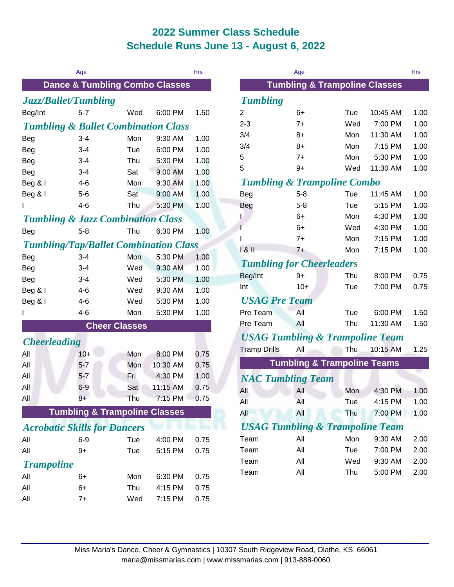## **2022 Summer Class Schedule Schedule Runs June 13 - August 6, 2022**

|                                                | Age                                       |     |          | <b>Hrs</b> |
|------------------------------------------------|-------------------------------------------|-----|----------|------------|
|                                                | <b>Dance &amp; Tumbling Combo Classes</b> |     |          |            |
| <b>Jazz/Ballet/Tumbling</b>                    |                                           |     |          |            |
| Beg/Int                                        | $5 - 7$                                   | Wed | 6:00 PM  | 1.50       |
| <b>Tumbling &amp; Ballet Combination Class</b> |                                           |     |          |            |
| <b>Beg</b>                                     | $3 - 4$                                   | Mon | 9:30 AM  | 1.00       |
| Beg                                            | $3 - 4$                                   | Tue | 6:00 PM  | 1.00       |
| Beg                                            | $3 - 4$                                   | Thu | 5:30 PM  | 1.00       |
| <b>Beg</b>                                     | $3 - 4$                                   | Sat | 9:00 AM  | 1.00       |
| Beg & I                                        | $4-6$                                     | Mon | 9:30 AM  | 1.00       |
| Beg & I                                        | $5 - 6$                                   | Sat | 9:00 AM  | 1.00       |
| L                                              | $4 - 6$                                   | Thu | 5:30 PM  | 1.00       |
| <b>Tumbling &amp; Jazz Combination Class</b>   |                                           |     |          |            |
| Beg                                            | $5 - 8$                                   | Thu | 6:30 PM  | 1.00       |
| <b>Tumbling/Tap/Ballet Combination Class</b>   |                                           |     |          |            |
| Beg                                            | $3 - 4$                                   | Mon | 5:30 PM  | 1.00       |
| Beg                                            | $3 - 4$                                   | Wed | 9:30 AM  | 1.00       |
| Beg                                            | $3 - 4$                                   | Wed | 5:30 PM  | 1.00       |
| Beg & I                                        | $4-6$                                     | Wed | 9:30 AM  | 1.00       |
| Beg & I                                        | $4 - 6$                                   | Wed | 5:30 PM  | 1.00       |
| ı                                              | $4 - 6$                                   | Mon | 5:30 PM  | 1.00       |
|                                                | <b>Cheer Classes</b>                      |     |          |            |
| <b>Cheerleading</b>                            |                                           |     |          |            |
| All                                            | $10+$                                     | Mon | 8:00 PM  | 0.75       |
| All                                            | $5 - 7$                                   | Mon | 10:30 AM | 0.75       |
| All                                            | $5 - 7$                                   | Fri | 4:30 PM  | 1.00       |
| All                                            | $6-9$                                     | Sat | 11:15 AM | 0.75       |
| All                                            | 8+                                        | Thu | 7:15 PM  | 0.75       |
|                                                | <b>Tumbling &amp; Trampoline Classes</b>  |     |          |            |
| <b>Acrobatic Skills for Dancers</b>            |                                           |     |          |            |
| All                                            | $6 - 9$                                   | Tue | 4:00 PM  | 0.75       |
| All                                            | 9+                                        | Tue | 5:15 PM  | 0.75       |
| <b>Trampoline</b>                              |                                           |     |          |            |
| All                                            | 6+                                        | Mon | 6:30 PM  | 0.75       |
| All                                            | 6+                                        | Thu | 4:15 PM  | 0.75       |
| All                                            | $7+$                                      | Wed | 7:15 PM  | 0.75       |
|                                                |                                           |     |          |            |

|                                            | Age     |                                            |          | Hrs  |  |
|--------------------------------------------|---------|--------------------------------------------|----------|------|--|
|                                            |         | <b>Tumbling &amp; Trampoline Classes</b>   |          |      |  |
| <b>Tumbling</b>                            |         |                                            |          |      |  |
| 2                                          | 6+      | Tue                                        | 10:45 AM | 1.00 |  |
| 2-3                                        | $7+$    | Wed                                        | 7:00 PM  | 1.00 |  |
| 3/4                                        | 8+      | Mon                                        | 11:30 AM | 1.00 |  |
| 3/4                                        | $8+$    | Mon                                        | 7:15 PM  | 1.00 |  |
| 5                                          | $7+$    | Mon                                        | 5:30 PM  | 1.00 |  |
| 5                                          | $9+$    | Wed                                        | 11:30 AM | 1.00 |  |
|                                            |         | <b>Tumbling &amp; Trampoline Combo</b>     |          |      |  |
| Beg                                        | $5 - 8$ | Tue                                        | 11:45 AM | 1.00 |  |
| Beg                                        | $5 - 8$ | Tue                                        | 5:15 PM  | 1.00 |  |
| L                                          | $6+$    | Mon                                        | 4:30 PM  | 1.00 |  |
| ı                                          | $6+$    | Wed                                        | 4:30 PM  | 1.00 |  |
| I                                          | $7+$    | Mon                                        | 7:15 PM  | 1.00 |  |
| 181                                        | $7+$    | Mon                                        | 7:15 PM  | 1.00 |  |
| <b>Tumbling for Cheerleaders</b>           |         |                                            |          |      |  |
| Beg/Int                                    | 9+      | Thu                                        | 8:00 PM  | 0.75 |  |
| Int                                        | $10+$   | Tue                                        | 7:00 PM  | 0.75 |  |
| <b>USAG Pre Team</b>                       |         |                                            |          |      |  |
| Pre Team                                   | All     | Tue                                        | 6:00 PM  | 1.50 |  |
| Pre Team                                   | All     | Thu                                        | 11:30 AM | 1.50 |  |
|                                            |         | <b>USAG Tumbling &amp; Trampoline Team</b> |          |      |  |
| <b>Tramp Drills</b>                        | All     | Thu                                        | 10:15 AM | 1.25 |  |
|                                            |         | <b>Tumbling &amp; Trampoline Teams</b>     |          |      |  |
| <b>NAC Tumbling Team</b>                   |         |                                            |          |      |  |
| All                                        | All     | Mon                                        | 4:30 PM  | 1.00 |  |
| All                                        | All     | Tue                                        | 4:15 PM  | 1.00 |  |
| All                                        | All     | Thu                                        | 7:00 PM  | 1.00 |  |
| <b>USAG Tumbling &amp; Trampoline Team</b> |         |                                            |          |      |  |
| Team                                       | All     | Mon                                        | 9:30 AM  | 2.00 |  |
| Team                                       | All     | Tue                                        | 7:00 PM  | 2.00 |  |
| Team                                       | All     | Wed                                        | 9:30 AM  | 2.00 |  |
| Team                                       | All     | Thu                                        | 5:00 PM  | 2.00 |  |